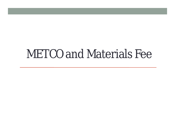# METCO and Materials Fee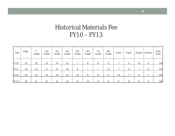## Historical Materials Fee FY10 – FY13

| Year        | Kdgn. | $1$ st<br>Grade | 2nd<br>Grade | 3rd<br>Grade | 4th<br>Grade | 5th<br>Grade | 6th<br>Grade | 7th<br>Grade | 8th<br>Grade | Fresh. | Soph. | Juniors | Seniors | Total<br>(Year) |
|-------------|-------|-----------------|--------------|--------------|--------------|--------------|--------------|--------------|--------------|--------|-------|---------|---------|-----------------|
| <b>FY10</b> | 15    | 20              | 13           | 14           | 10           |              | 8            | 11           | 4            |        | 8     | 13      | 6       | 136             |
| <b>FY11</b> | 16    | 14              | 17           | 14           | 16           | 8            |              |              | 12           |        | 6     |         | 11      | 142             |
| <b>FY12</b> | 20    | 16              | 15           | 19           | 14           | 16           | 8            | 8            | 8            | 13     |       | 5       |         | 156             |
| <b>FY13</b> | 23    | 21              | 15           | 14           | 18           | 13           | 16           | 8            | 8            | 9      | 12    | 6       | 5       | 168             |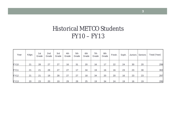## Historical METCO Students FY10 – FY13

| Year        | Kdgn. | 1st<br>Grade | 2nd<br>Grade | 3rd<br>Grade | 4th<br>Grade | 5th<br>Grade | 6th<br>Grade | 7th<br>Grade | 8th<br>Grade | Fresh. | Soph. | Juniors | Seniors | Total (Year) |
|-------------|-------|--------------|--------------|--------------|--------------|--------------|--------------|--------------|--------------|--------|-------|---------|---------|--------------|
| <b>FY10</b> | 21    | 28           | 27           | 27           | 16           | 31           | 20           | 16           | 17           | 22     | 24    | 30      | 20      | 299          |
| <b>FY11</b> | 21    | 21           | 28           | 27           | 27           | 17           | 34           | 19           | 16           | 16     | 23    | 23      | 30      | 302          |
| <b>FY12</b> | 21    | 21           | 19           | 28           | 27           | 27           | 18           | 34           | 20           | 20     | 16    | 23      | 23      | 297          |
| <b>FY13</b> | 20    | 23           | 20           | 19           | 29           | 28           | 25           | 19           | 34           | 24     | 19    | 16      | 19      | 295          |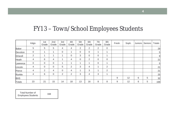### FY13 – Town/School Employees Students

|                 | Kdgn. | 1st<br>Grade | 2nd<br>Grade | 3rd<br>Grade | 4th<br>Grade               | 5th<br>Grade | 6th<br>Grade   | 7th<br>Grade | 8th<br>Grade   | Fresh. | Soph. | Juniors | Seniors | <b>Totals</b> |
|-----------------|-------|--------------|--------------|--------------|----------------------------|--------------|----------------|--------------|----------------|--------|-------|---------|---------|---------------|
| <b>Baker</b>    | 5     | 5            | 5            | 4            | 4                          | 2            | 2              | 2            | 0              |        |       |         |         | 29            |
| Devotion        | 0     |              |              | 0            | $\boldsymbol{\mathcal{A}}$ | 0            | $\mathbf 0$    |              |                |        |       |         |         | 5             |
| <b>Driscoll</b> | 2     |              |              |              | $\mathbf 0$                | 3            | $\overline{0}$ | 0            |                |        |       |         |         | 9             |
| Heath           | 4     | 6            | 4            |              | 4                          | $\mathbf 0$  | 2              | $\mathbf 0$  | 0              |        |       |         |         | 21            |
| Lawrence        | 0     | $\Omega$     | $\Omega$     |              |                            |              |                | 0            |                |        |       |         |         | 5             |
| Lincoln         | 4     | 0            | 0            | 5            | 2                          | 3            | 4              |              | $\overline{2}$ |        |       |         |         | 21            |
| Pierce          | 4     | 2            | 4            | 0            | 4                          |              | 3              |              | 2              |        |       |         |         | 21            |
| Runkle          | 4     | 6            | 0            | 2            | 2                          | 3            | 4              | 3            |                |        |       |         |         | 25            |
| <b>BHS</b>      |       |              |              |              |                            |              |                |              |                | 9      | 12    | 6       | 5       | 32            |
| <b>Totals</b>   | 23    | 21           | 15           | 14           | 18                         | 13           | 16             | 8            | 8              | $9\,$  | 12    | 6       | 5       | 168           |

| <b>Total Number of</b><br><b>Employees Students</b> | 168 |
|-----------------------------------------------------|-----|
|-----------------------------------------------------|-----|